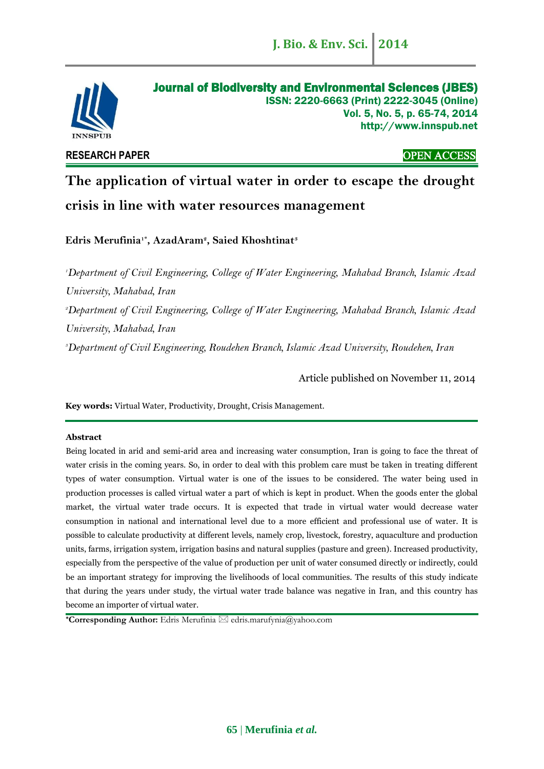

**RESEARCH PAPER** OPEN ACCESS

# **The application of virtual water in order to escape the drought crisis in line with water resources management**

**Edris Merufinia1\* , AzadAram<sup>2</sup> , Saied Khoshtinat<sup>3</sup>**

*<sup>1</sup>Department of Civil Engineering, College of Water Engineering, Mahabad Branch, Islamic Azad University, Mahabad, Iran*

*<sup>2</sup>Department of Civil Engineering, College of Water Engineering, Mahabad Branch, Islamic Azad University, Mahabad, Iran*

*<sup>3</sup>Department of Civil Engineering, Roudehen Branch, Islamic Azad University, Roudehen, Iran*

Article published on November 11, 2014

**Key words:** Virtual Water, Productivity, Drought, Crisis Management.

#### **Abstract**

Being located in arid and semi-arid area and increasing water consumption, Iran is going to face the threat of water crisis in the coming years. So, in order to deal with this problem care must be taken in treating different types of water consumption. Virtual water is one of the issues to be considered. The water being used in production processes is called virtual water a part of which is kept in product. When the goods enter the global market, the virtual water trade occurs. It is expected that trade in virtual water would decrease water consumption in national and international level due to a more efficient and professional use of water. It is possible to calculate productivity at different levels, namely crop, livestock, forestry, aquaculture and production units, farms, irrigation system, irrigation basins and natural supplies (pasture and green). Increased productivity, especially from the perspective of the value of production per unit of water consumed directly or indirectly, could be an important strategy for improving the livelihoods of local communities. The results of this study indicate that during the years under study, the virtual water trade balance was negative in Iran, and this country has become an importer of virtual water.

**\*Corresponding Author:** Edris Merufinia edris.marufynia@yahoo.com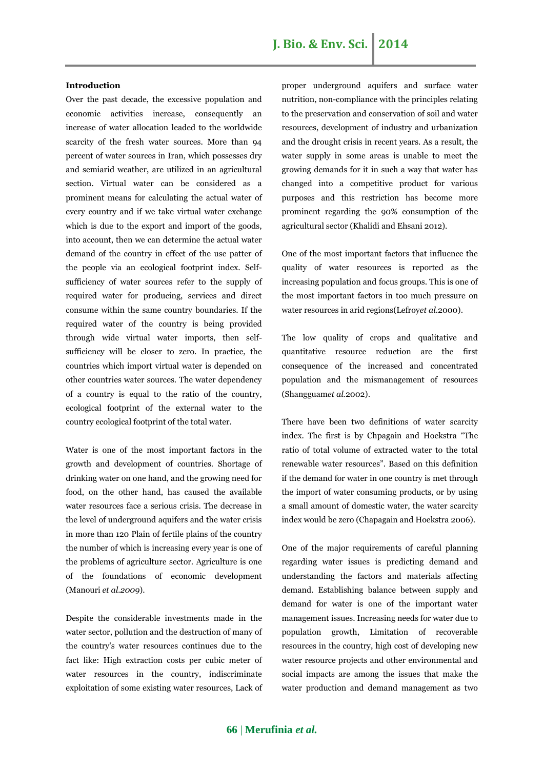## **J. Bio. & Env. Sci. 2014**

#### **Introduction**

Over the past decade, the excessive population and economic activities increase, consequently an increase of water allocation leaded to the worldwide scarcity of the fresh water sources. More than 94 percent of water sources in Iran, which possesses dry and semiarid weather, are utilized in an agricultural section. Virtual water can be considered as a prominent means for calculating the actual water of every country and if we take virtual water exchange which is due to the export and import of the goods, into account, then we can determine the actual water demand of the country in effect of the use patter of the people via an ecological footprint index. Selfsufficiency of water sources refer to the supply of required water for producing, services and direct consume within the same country boundaries. If the required water of the country is being provided through wide virtual water imports, then selfsufficiency will be closer to zero. In practice, the countries which import virtual water is depended on other countries water sources. The water dependency of a country is equal to the ratio of the country, ecological footprint of the external water to the country ecological footprint of the total water.

Water is one of the most important factors in the growth and development of countries. Shortage of drinking water on one hand, and the growing need for food, on the other hand, has caused the available water resources face a serious crisis. The decrease in the level of underground aquifers and the water crisis in more than 120 Plain of fertile plains of the country the number of which is increasing every year is one of the problems of agriculture sector. Agriculture is one of the foundations of economic development (Manouri *et al.2009*).

Despite the considerable investments made in the water sector, pollution and the destruction of many of the country's water resources continues due to the fact like: High extraction costs per cubic meter of water resources in the country, indiscriminate exploitation of some existing water resources, Lack of proper underground aquifers and surface water nutrition, non-compliance with the principles relating to the preservation and conservation of soil and water resources, development of industry and urbanization and the drought crisis in recent years. As a result, the water supply in some areas is unable to meet the growing demands for it in such a way that water has changed into a competitive product for various purposes and this restriction has become more prominent regarding the 90% consumption of the agricultural sector (Khalidi and Ehsani 2012).

One of the most important factors that influence the quality of water resources is reported as the increasing population and focus groups. This is one of the most important factors in too much pressure on water resources in arid regions(Lefroy*et al.*2000).

The low quality of crops and qualitative and quantitative resource reduction are the first consequence of the increased and concentrated population and the mismanagement of resources (Shangguam*et al.*2002).

There have been two definitions of water scarcity index. The first is by Chpagain and Hoekstra "The ratio of total volume of extracted water to the total renewable water resources". Based on this definition if the demand for water in one country is met through the import of water consuming products, or by using a small amount of domestic water, the water scarcity index would be zero (Chapagain and Hoekstra 2006).

One of the major requirements of careful planning regarding water issues is predicting demand and understanding the factors and materials affecting demand. Establishing balance between supply and demand for water is one of the important water management issues. Increasing needs for water due to population growth, Limitation of recoverable resources in the country, high cost of developing new water resource projects and other environmental and social impacts are among the issues that make the water production and demand management as two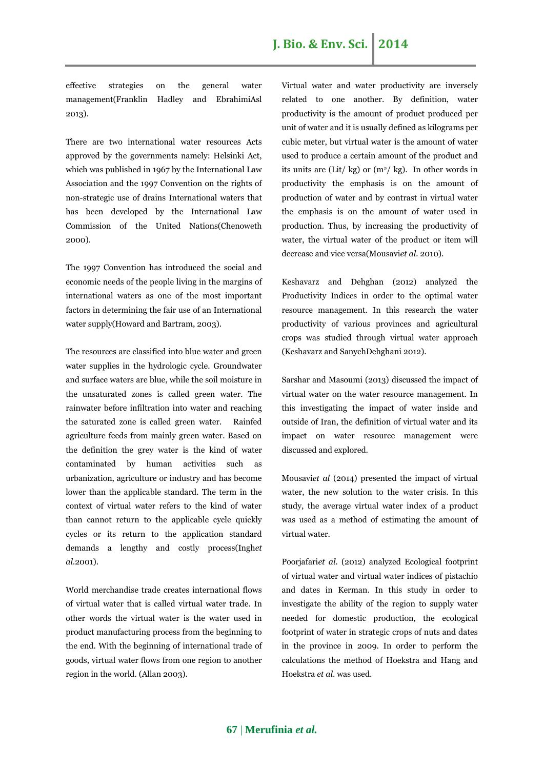effective strategies on the general water management(Franklin Hadley and EbrahimiAsl 2013).

There are two international water resources Acts approved by the governments namely: Helsinki Act, which was published in 1967 by the International Law Association and the 1997 Convention on the rights of non-strategic use of drains International waters that has been developed by the International Law Commission of the United Nations(Chenoweth 2000).

The 1997 Convention has introduced the social and economic needs of the people living in the margins of international waters as one of the most important factors in determining the fair use of an International water supply(Howard and Bartram, 2003).

The resources are classified into blue water and green water supplies in the hydrologic cycle. Groundwater and surface waters are blue, while the soil moisture in the unsaturated zones is called green water. The rainwater before infiltration into water and reaching the saturated zone is called green water. Rainfed agriculture feeds from mainly green water. Based on the definition the grey water is the kind of water contaminated by human activities such as urbanization, agriculture or industry and has become lower than the applicable standard. The term in the context of virtual water refers to the kind of water than cannot return to the applicable cycle quickly cycles or its return to the application standard demands a lengthy and costly process(Ingh*et al.*2001).

World merchandise trade creates international flows of virtual water that is called virtual water trade. In other words the virtual water is the water used in product manufacturing process from the beginning to the end. With the beginning of international trade of goods, virtual water flows from one region to another region in the world. (Allan 2003).

Virtual water and water productivity are inversely related to one another. By definition, water productivity is the amount of product produced per unit of water and it is usually defined as kilograms per cubic meter, but virtual water is the amount of water used to produce a certain amount of the product and its units are (Lit/ kg) or  $(m^2 / kg)$ . In other words in productivity the emphasis is on the amount of production of water and by contrast in virtual water the emphasis is on the amount of water used in production. Thus, by increasing the productivity of water, the virtual water of the product or item will decrease and vice versa(Mousavi*et al.* 2010).

Keshavarz and Dehghan (2012) analyzed the Productivity Indices in order to the optimal water resource management. In this research the water productivity of various provinces and agricultural crops was studied through virtual water approach (Keshavarz and SanychDehghani 2012).

Sarshar and Masoumi (2013) discussed the impact of virtual water on the water resource management. In this investigating the impact of water inside and outside of Iran, the definition of virtual water and its impact on water resource management were discussed and explored.

Mousavi*et al* (2014) presented the impact of virtual water, the new solution to the water crisis. In this study, the average virtual water index of a product was used as a method of estimating the amount of virtual water.

Poorjafari*et al.* (2012) analyzed Ecological footprint of virtual water and virtual water indices of pistachio and dates in Kerman. In this study in order to investigate the ability of the region to supply water needed for domestic production, the ecological footprint of water in strategic crops of nuts and dates in the province in 2009. In order to perform the calculations the method of Hoekstra and Hang and Hoekstra *et al*. was used.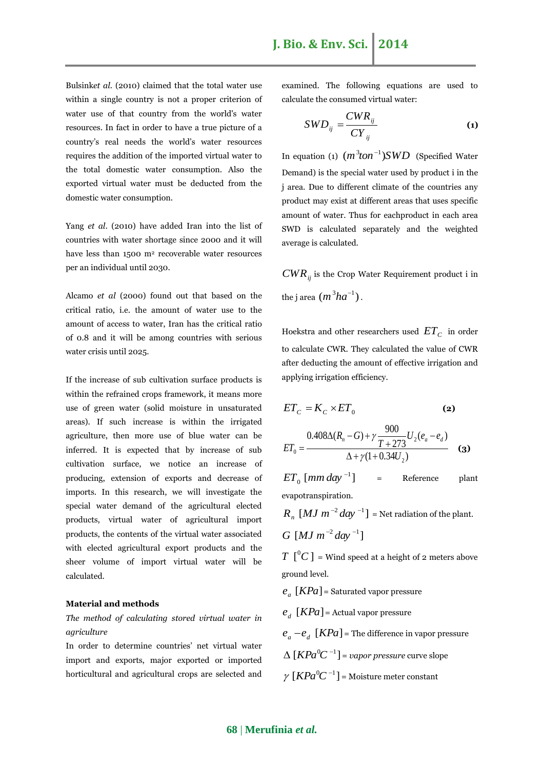Bulsink*et al.* (2010) claimed that the total water use within a single country is not a proper criterion of water use of that country from the world's water resources. In fact in order to have a true picture of a country's real needs the world's water resources requires the addition of the imported virtual water to the total domestic water consumption. Also the exported virtual water must be deducted from the domestic water consumption.

Yang *et al*. (2010) have added Iran into the list of countries with water shortage since 2000 and it will have less than 1500 m<sup>2</sup> recoverable water resources per an individual until 2030.

Alcamo *et al* (2000) found out that based on the critical ratio, i.e. the amount of water use to the amount of access to water, Iran has the critical ratio of 0.8 and it will be among countries with serious water crisis until 2025.

If the increase of sub cultivation surface products is within the refrained crops framework, it means more use of green water (solid moisture in unsaturated areas). If such increase is within the irrigated agriculture, then more use of blue water can be inferred. It is expected that by increase of sub cultivation surface, we notice an increase of producing, extension of exports and decrease of imports. In this research, we will investigate the special water demand of the agricultural elected products, virtual water of agricultural import products, the contents of the virtual water associated with elected agricultural export products and the sheer volume of import virtual water will be calculated.

#### **Material and methods**

## *The method of calculating stored virtual water in agriculture*

In order to determine countries' net virtual water import and exports, major exported or imported horticultural and agricultural crops are selected and examined. The following equations are used to calculate the consumed virtual water:

$$
SWD_{ij} = \frac{CWR_{ij}}{CY_{ij}}
$$
 (1)

In equation (1)  $(m^3ton^{-1})SWD$  (Specified Water Demand) is the special water used by product i in the j area. Due to different climate of the countries any product may exist at different areas that uses specific amount of water. Thus for eachproduct in each area SWD is calculated separately and the weighted average is calculated.

*CWRij* is the Crop Water Requirement product i in the j area  $(m^3ha^{-1})$ .

Hoekstra and other researchers used  $\, ET_{\,C} \,$  in order to calculate CWR. They calculated the value of CWR after deducting the amount of effective irrigation and applying irrigation efficiency.

$$
ET_C = K_C \times ET_0 \tag{2}
$$

$$
ET_0 = \frac{0.408\Delta(R_n - G) + \gamma \frac{900}{T + 273} U_2(e_a - e_d)}{\Delta + \gamma (1 + 0.34 U_2)}
$$
 (3)

 $ET_{\rm 0}$  [mm day  $^{-1}$ ] Reference plant evapotranspiration.

 $R_n \, \left[ MJ \, m^{-2} \, day^{-1} \right]$  = Net radiation of the plant.  $G$   $[MJ \, m^{-2} \, day^{-1}]$ 

 $T$  [<sup>0</sup> $C$ ] = Wind speed at a height of 2 meters above ground level.

 $e_a$  [*KPa*] = Saturated vapor pressure

 $e_d$  [*KPa*] = Actual vapor pressure

- $e_a e_d$  [*KPa*] = The difference in vapor pressure
- $\Delta$   $[KPa^{0}C^{-1}]$  = vapor pressure curve slope
- $\gamma$  [ $KPa^0C^{-1}$ ] = Moisture meter constant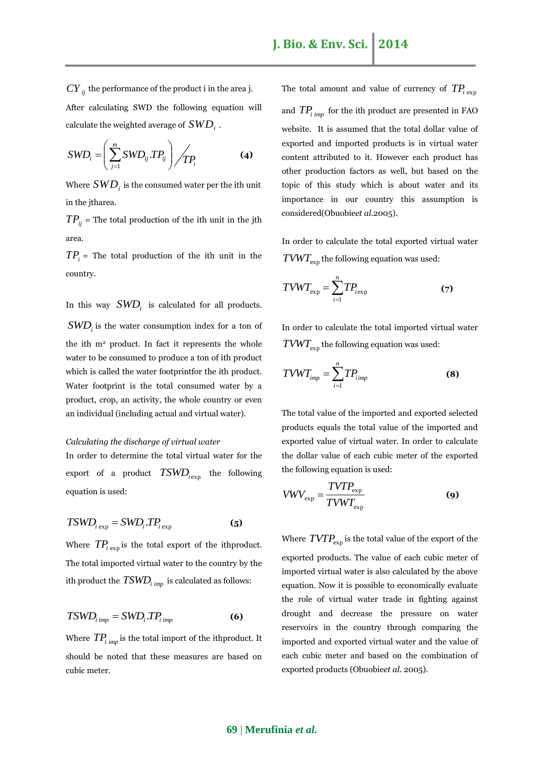$CY$ <sub>*ij*</sub> the performance of the product i in the area j. After calculating SWD the following equation will calculate the weighted average of  $\mathit{SWD}_i$  .

$$
SWD_i = \left(\sum_{j=1}^m SWD_{ij}.TP_{ij}\right) / TP_i \tag{4}
$$

Where  $\pmb{SWD}_i$  is the consumed water per the ith unit in the jtharea.

 $TP_{ij}$  = The total production of the ith unit in the jth area.

 $TP<sub>i</sub>$  = The total production of the ith unit in the country.

In this way  $SWD_i$  is calculated for all products.

*SWD<sup>i</sup>* is the water consumption index for a ton of the ith m<sup>2</sup> product. In fact it represents the whole water to be consumed to produce a ton of ith product which is called the water footprintfor the ith product. Water footprint is the total consumed water by a product, crop, an activity, the whole country or even an individual (including actual and virtual water).

#### *Calculating the discharge of virtual water*

In order to determine the total virtual water for the export of a product  $TSWD_{i\exp}$  the following equation is used:

$$
TSWD_{i\exp} = SWD_iTP_{i\exp}
$$
 (5)

Where  $TP_i$ <sub>exp</sub> is the total export of the ithproduct. The total imported virtual water to the country by the ith product the  $TSWD_{i\;imp}^+$  is calculated as follows:

$$
TSWD_{i\,imp} = SWD_i \,TP_{i\,imp} \tag{6}
$$

Where  $TP_i_{imp}$  is the total import of the ithproduct. It should be noted that these measures are based on cubic meter.

The total amount and value of currency of  $TP_i$ <sub>exp</sub> and  $TP_i_{imp}$  for the ith product are presented in FAO website. It is assumed that the total dollar value of exported and imported products is in virtual water content attributed to it. However each product has other production factors as well, but based on the topic of this study which is about water and its importance in our country this assumption is considered(Obuobie*et al.*2005).

In order to calculate the total exported virtual water  $TVWT_{\text{exp}}$  the following equation was used:

$$
TVWT_{\exp} = \sum_{i=1}^{n} TP_{i \exp}
$$
 (7)

In order to calculate the total imported virtual water  $TVWT$ <sub>exp</sub> the following equation was used:

$$
T V W T_{imp} = \sum_{i=1}^{n} T P_{imp}
$$
 (8)

The total value of the imported and exported selected products equals the total value of the imported and exported value of virtual water. In order to calculate the dollar value of each cubic meter of the exported the following equation is used:

$$
VWV_{\text{exp}} = \frac{TVTP_{\text{exp}}}{TVWT_{\text{exp}}}
$$
 (9)

Where  $TVTP_{\text{exp}}$  is the total value of the export of the exported products. The value of each cubic meter of imported virtual water is also calculated by the above equation. Now it is possible to economically evaluate the role of virtual water trade in fighting against drought and decrease the pressure on water reservoirs in the country through comparing the imported and exported virtual water and the value of each cubic meter and based on the combination of exported products (Obuobie*et al*. 2005).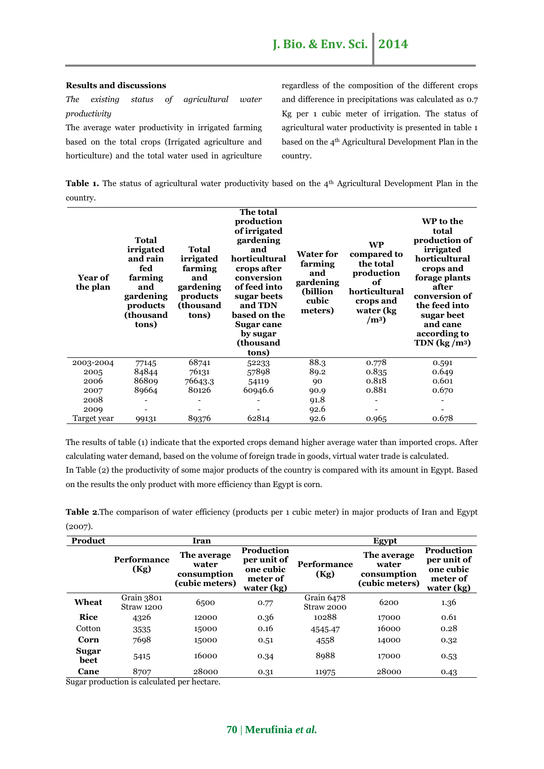#### **Results and discussions**

*The existing status of agricultural water productivity*

The average water productivity in irrigated farming based on the total crops (Irrigated agriculture and horticulture) and the total water used in agriculture regardless of the composition of the different crops and difference in precipitations was calculated as 0.7 Kg per 1 cubic meter of irrigation. The status of agricultural water productivity is presented in table 1 based on the 4th Agricultural Development Plan in the country.

**Table 1.** The status of agricultural water productivity based on the 4<sup>th</sup> Agricultural Development Plan in the country.

| <b>Year of</b><br>the plan | <b>Total</b><br>irrigated<br>and rain<br>fed<br>farming<br>and<br>gardening<br>products<br>(thousand<br>tons) | Total<br>irrigated<br>farming<br>and<br>gardening<br>products<br>(thousand<br>tons) | The total<br>production<br>of irrigated<br>gardening<br>and<br>horticultural<br>crops after<br>conversion<br>of feed into<br>sugar beets<br>and TDN<br>based on the<br>Sugar cane<br>by sugar<br>(thousand<br>tons) | <b>Water for</b><br>farming<br>and<br>gardening<br>(billion<br>cubic<br>meters) | <b>WP</b><br>compared to<br>the total<br>production<br>of<br>horticultural<br>crops and<br>water (kg)<br>(m <sup>3</sup> ) | WP to the<br>total<br>production of<br>irrigated<br>horticultural<br>crops and<br>forage plants<br>after<br>conversion of<br>the feed into<br>sugar beet<br>and cane<br>according to<br>TDN $\left({\frac{kg}{m^3}}\right)$ |
|----------------------------|---------------------------------------------------------------------------------------------------------------|-------------------------------------------------------------------------------------|---------------------------------------------------------------------------------------------------------------------------------------------------------------------------------------------------------------------|---------------------------------------------------------------------------------|----------------------------------------------------------------------------------------------------------------------------|-----------------------------------------------------------------------------------------------------------------------------------------------------------------------------------------------------------------------------|
| 2003-2004                  | 77145                                                                                                         | 68741                                                                               | 52233                                                                                                                                                                                                               | 88.3                                                                            | 0.778                                                                                                                      | 0.591                                                                                                                                                                                                                       |
| 2005                       | 84844                                                                                                         | 76131                                                                               | 57898                                                                                                                                                                                                               | 89.2                                                                            | 0.835                                                                                                                      | 0.649                                                                                                                                                                                                                       |
| 2006                       | 86809                                                                                                         | 76643.3                                                                             | 54119                                                                                                                                                                                                               | 0.818<br>90                                                                     |                                                                                                                            | 0.601                                                                                                                                                                                                                       |
| 2007                       | 89664                                                                                                         | 80126                                                                               | 60946.6                                                                                                                                                                                                             | 90.9                                                                            | 0.881                                                                                                                      | 0.670                                                                                                                                                                                                                       |
| 2008                       |                                                                                                               |                                                                                     |                                                                                                                                                                                                                     | 91.8                                                                            |                                                                                                                            |                                                                                                                                                                                                                             |
| 2009                       |                                                                                                               |                                                                                     |                                                                                                                                                                                                                     | 92.6                                                                            |                                                                                                                            |                                                                                                                                                                                                                             |
| Target year                | 99131                                                                                                         | 89376                                                                               | 62814                                                                                                                                                                                                               | 92.6                                                                            | 0.965                                                                                                                      | 0.678                                                                                                                                                                                                                       |

The results of table (1) indicate that the exported crops demand higher average water than imported crops. After calculating water demand, based on the volume of foreign trade in goods, virtual water trade is calculated.

In Table (2) the productivity of some major products of the country is compared with its amount in Egypt. Based on the results the only product with more efficiency than Egypt is corn.

**Table 2**.The comparison of water efficiency (products per 1 cubic meter) in major products of Iran and Egypt (2007).

| Product       |                            | Iran                                                  |                                                                         |                            | <b>Egypt</b>                                          |                                                                         |
|---------------|----------------------------|-------------------------------------------------------|-------------------------------------------------------------------------|----------------------------|-------------------------------------------------------|-------------------------------------------------------------------------|
|               | <b>Performance</b><br>(Kg) | The average<br>water<br>consumption<br>(cubic meters) | <b>Production</b><br>per unit of<br>one cubic<br>meter of<br>water (kg) | <b>Performance</b><br>(Kg) | The average<br>water<br>consumption<br>(cubic meters) | <b>Production</b><br>per unit of<br>one cubic<br>meter of<br>water (kg) |
| Wheat         | Grain 3801<br>Straw 1200   | 6500                                                  | 0.77                                                                    | Grain 6478<br>Straw 2000   | 6200                                                  | 1.36                                                                    |
| <b>Rice</b>   | 4326                       | 12000                                                 | 0.36                                                                    | 10288                      | 17000                                                 | 0.61                                                                    |
| Cotton        | 3535                       | 15000                                                 | 0.16                                                                    | 4545.47                    | 16000                                                 | 0.28                                                                    |
| Corn          | 7698                       | 15000                                                 | 0.51                                                                    | 4558                       | 14000                                                 | 0.32                                                                    |
| Sugar<br>beet | 5415                       | 16000                                                 | 0.34                                                                    | 8988                       | 17000                                                 | 0.53                                                                    |
| Cane          | 8707                       | 28000                                                 | 0.31                                                                    | 11975                      | 28000                                                 | 0.43                                                                    |

Sugar production is calculated per hectare.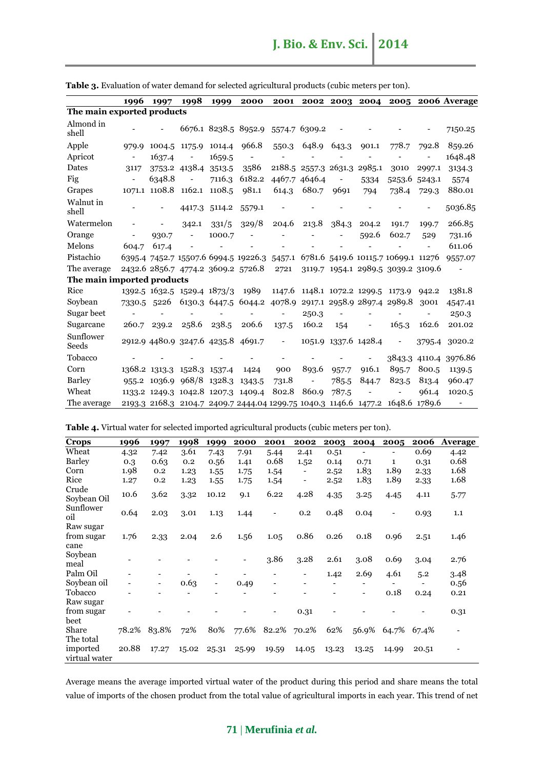|                            | 1996                     | 1997   | 1998                               | 1999   | 2000                                                                            |                          |                             |                          |                      |                                    |        | 2001 2002 2003 2004 2005 2006 Average |
|----------------------------|--------------------------|--------|------------------------------------|--------|---------------------------------------------------------------------------------|--------------------------|-----------------------------|--------------------------|----------------------|------------------------------------|--------|---------------------------------------|
| The main exported products |                          |        |                                    |        |                                                                                 |                          |                             |                          |                      |                                    |        |                                       |
| Almond in<br>shell         |                          |        |                                    |        | 6676.1 8238.5 8952.9 5574.7 6309.2                                              |                          |                             |                          |                      |                                    |        | 7150.25                               |
| Apple                      | 979.9                    | 1004.5 | 1175.9                             | 1014.4 | 966.8                                                                           |                          | 550.3 648.9 643.3           |                          | 901.1                | 778.7                              | 792.8  | 859.26                                |
| Apricot                    | $\overline{\phantom{a}}$ | 1637.4 |                                    | 1659.5 |                                                                                 | $\overline{\phantom{a}}$ |                             |                          |                      |                                    |        | 1648.48                               |
| Dates                      | 3117                     |        | 3753.2 4138.4                      | 3513.5 | 3586                                                                            |                          | 2188.5 2557.3 2631.3 2985.1 |                          |                      | 3010                               | 2997.1 | 3134.3                                |
| Fig                        |                          | 6348.8 |                                    | 7116.3 | 6182.2                                                                          | 4467.7                   | 4646.4                      | $\overline{\phantom{a}}$ | 5334                 | 5253.6                             | 5243.1 | 5574                                  |
| Grapes                     |                          |        | 1071.1 1108.8 1162.1 1108.5        |        | 981.1                                                                           | 614.3                    | 680.7                       | 9691                     | 794                  | 738.4                              | 729.3  | 880.01                                |
| Walnut in<br>shell         |                          |        | 4417.3                             | 5114.2 | 5579.1                                                                          |                          |                             |                          |                      |                                    |        | 5036.85                               |
| Watermelon                 |                          |        | 342.1                              | 331/5  | 329/8                                                                           | 204.6                    | 213.8                       | 384.3                    | 204.2                | 191.7                              | 199.7  | 266.85                                |
| Orange                     | -                        | 930.7  |                                    | 1000.7 |                                                                                 |                          |                             |                          | 592.6                | 602.7                              | 529    | 731.16                                |
| Melons                     | 604.7                    | 617.4  |                                    |        |                                                                                 |                          |                             |                          |                      |                                    |        | 611.06                                |
| Pistachio                  |                          |        |                                    |        | 6395.4 7452.7 15507.6 6994.5 19226.3 5457.1 6781.6 5419.6 10115.7 10699.1 11276 |                          |                             |                          |                      |                                    |        | 9557.07                               |
| The average                |                          |        |                                    |        | 2432.6 2856.7 4774.2 3609.2 5726.8                                              | 2721                     |                             |                          |                      | 3119.7 1954.1 2989.5 3039.2 3109.6 |        | $\overline{\phantom{a}}$              |
| The main imported products |                          |        |                                    |        |                                                                                 |                          |                             |                          |                      |                                    |        |                                       |
| Rice                       |                          |        | 1392.5 1632.5 1529.4 1873/3 1989   |        |                                                                                 |                          |                             |                          |                      | 1147.6 1148.1 1072.2 1299.5 1173.9 | 942.2  | 1381.8                                |
| Soybean                    | 7330.5 5226              |        |                                    |        | 6130.3 6447.5 6044.2 4078.9 2917.1 2958.9 2897.4 2989.8                         |                          |                             |                          |                      |                                    | 3001   | 4547.41                               |
| Sugar beet                 |                          |        |                                    |        |                                                                                 |                          | 250.3                       |                          |                      |                                    |        | 250.3                                 |
| Sugarcane                  | 260.7                    | 239.2  | 258.6                              | 238.5  | 206.6                                                                           | 137.5                    | 160.2                       | 154                      |                      | 165.3                              | 162.6  | 201.02                                |
| Sunflower<br>Seeds         |                          |        | 2912.9 4480.9 3247.6 4235.8 4691.7 |        |                                                                                 | $\overline{\phantom{a}}$ |                             |                          | 1051.9 1337.6 1428.4 | $\overline{\phantom{a}}$           |        | 3795.4 3020.2                         |
| Tobacco                    |                          |        |                                    |        |                                                                                 |                          |                             |                          |                      |                                    |        | 3843.3 4110.4 3976.86                 |
| Corn                       |                          |        | 1368.2 1313.3 1528.3 1537.4        |        | 1424                                                                            | 900                      | 893.6                       | 957.7                    | 916.1                | 895.7                              | 800.5  | 1139.5                                |
| <b>Barley</b>              |                          |        | 955.2 1036.9 968/8 1328.3          |        | 1343.5                                                                          | 731.8                    |                             | 785.5                    | 844.7                | 823.5                              | 813.4  | 960.47                                |
| Wheat                      |                          |        |                                    |        | 1133.2 1249.3 1042.8 1207.3 1409.4                                              | 802.8                    | 860.9                       | 787.5                    |                      |                                    | 961.4  | 1020.5                                |
| The average                |                          |        |                                    |        | 2193.3 2168.3 2104.7 2409.7 2444.04 1299.75 1040.3 1146.6 1477.2 1648.6 1789.6  |                          |                             |                          |                      |                                    |        | $\overline{\phantom{a}}$              |

**Table 3.** Evaluation of water demand for selected agricultural products (cubic meters per ton).

|  | <b>Table 4.</b> Virtual water for selected imported agricultural products (cubic meters per ton). |  |
|--|---------------------------------------------------------------------------------------------------|--|
|  |                                                                                                   |  |

| <b>Crops</b>              | 1996  | 1997  | 1998  | 1999                     | 2000  | 2001  | 2002                     | 2003  | 2004  | 2005                     | 2006  | <b>Average</b> |
|---------------------------|-------|-------|-------|--------------------------|-------|-------|--------------------------|-------|-------|--------------------------|-------|----------------|
| Wheat                     | 4.32  | 7.42  | 3.61  | 7.43                     | 7.91  | 5.44  | 2.41                     | 0.51  |       |                          | 0.69  | 4.42           |
| <b>Barley</b>             | 0.3   | 0.63  | 0.2   | 0.56                     | 1.41  | 0.68  | 1.52                     | 0.14  | 0.71  | 1                        | 0.31  | 0.68           |
| Corn                      | 1.98  | 0.2   | 1.23  | 1.55                     | 1.75  | 1.54  | -                        | 2.52  | 1.83  | 1.89                     | 2.33  | 1.68           |
| Rice                      | 1.27  | 0.2   | 1.23  | 1.55                     | 1.75  | 1.54  | $\overline{\phantom{a}}$ | 2.52  | 1.83  | 1.89                     | 2.33  | 1.68           |
| Crude<br>Soybean Oil      | 10.6  | 3.62  | 3.32  | 10.12                    | 9.1   | 6.22  | 4.28                     | 4.35  | 3.25  | 4.45                     | 4.11  | 5.77           |
| Sunflower<br>oil          | 0.64  | 2.03  | 3.01  | 1.13                     | 1.44  |       | 0.2                      | 0.48  | 0.04  | $\overline{\phantom{a}}$ | 0.93  | 1.1            |
| Raw sugar                 |       |       |       |                          |       |       |                          |       |       |                          |       |                |
| from sugar                | 1.76  | 2.33  | 2.04  | 2.6                      | 1.56  | 1.05  | 0.86                     | 0.26  | 0.18  | 0.96                     | 2.51  | 1.46           |
| cane                      |       |       |       |                          |       |       |                          |       |       |                          |       |                |
| Soybean<br>meal           |       |       |       |                          |       | 3.86  | 3.28                     | 2.61  | 3.08  | 0.69                     | 3.04  | 2.76           |
| Palm Oil                  |       |       |       |                          |       |       | $\overline{\phantom{a}}$ | 1.42  | 2.69  | 4.61                     | 5.2   | 3.48           |
| Soybean oil               |       | ۰     | 0.63  | $\overline{\phantom{a}}$ | 0.49  |       |                          |       |       |                          |       | 0.56           |
| Tobacco                   |       |       |       |                          |       |       |                          |       |       | 0.18                     | 0.24  | 0.21           |
| Raw sugar                 |       |       |       |                          |       |       |                          |       |       |                          |       |                |
| from sugar                |       |       |       |                          |       |       | 0.31                     |       |       |                          |       | 0.31           |
| beet                      |       |       |       |                          |       |       |                          |       |       |                          |       |                |
| Share                     | 78.2% | 83.8% | 72%   | 80%                      | 77.6% | 82.2% | 70.2%                    | 62%   | 56.9% | 64.7%                    | 67.4% |                |
| The total                 |       |       |       |                          |       |       |                          |       |       |                          |       |                |
| imported<br>virtual water | 20.88 | 17.27 | 15.02 | 25.31                    | 25.99 | 19.59 | 14.05                    | 13.23 | 13.25 | 14.99                    | 20.51 |                |

Average means the average imported virtual water of the product during this period and share means the total value of imports of the chosen product from the total value of agricultural imports in each year. This trend of net

## **71** | **Merufinia** *et al.*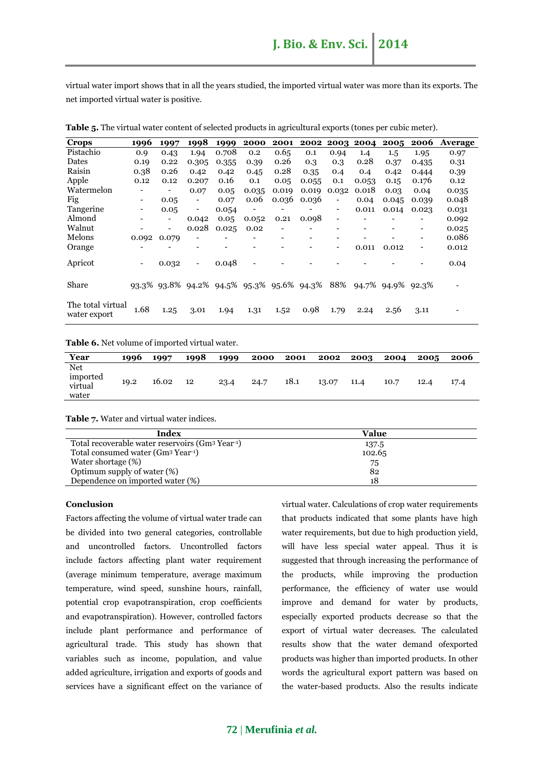virtual water import shows that in all the years studied, the imported virtual water was more than its exports. The net imported virtual water is positive.

| <b>Crops</b>                      | 1996                     | 1997  | 1998                                      | 1999  | 2000  | 2001  | 2002  | 2003                     | 2004  | 2005    | 2006                     | Average |
|-----------------------------------|--------------------------|-------|-------------------------------------------|-------|-------|-------|-------|--------------------------|-------|---------|--------------------------|---------|
| Pistachio                         | 0.9                      | 0.43  | 1.94                                      | 0.708 | 0.2   | 0.65  | 0.1   | 0.94                     | 1.4   | $1.5\,$ | 1.95                     | 0.97    |
| Dates                             | 0.19                     | 0.22  | 0.305                                     | 0.355 | 0.39  | 0.26  | 0.3   | 0.3                      | 0.28  | 0.37    | 0.435                    | 0.31    |
| Raisin                            | 0.38                     | 0.26  | 0.42                                      | 0.42  | 0.45  | 0.28  | 0.35  | 0.4                      | 0.4   | 0.42    | 0.444                    | 0.39    |
| Apple                             | 0.12                     | 0.12  | 0.207                                     | 0.16  | 0.1   | 0.05  | 0.055 | 0.1                      | 0.053 | 0.15    | 0.176                    | 0.12    |
| Watermelon                        |                          |       | 0.07                                      | 0.05  | 0.035 | 0.019 | 0.019 | 0.032                    | 0.018 | 0.03    | 0.04                     | 0.035   |
| Fig                               | -                        | 0.05  | -                                         | 0.07  | 0.06  | 0.036 | 0.036 | $\overline{\phantom{a}}$ | 0.04  | 0.045   | 0.039                    | 0.048   |
| Tangerine                         | -                        | 0.05  | -                                         | 0.054 |       |       |       | -                        | 0.011 | 0.014   | 0.023                    | 0.031   |
| Almond                            |                          |       | 0.042                                     | 0.05  | 0.052 | 0.21  | 0.098 | $\overline{\phantom{a}}$ |       |         | ٠                        | 0.092   |
| Walnut                            |                          | -     | 0.028                                     | 0.025 | 0.02  |       |       |                          |       |         | $\overline{\phantom{a}}$ | 0.025   |
| Melons                            | 0.092                    | 0.079 |                                           |       |       |       | ٠     |                          |       |         | $\overline{\phantom{0}}$ | 0.086   |
| Orange                            |                          |       |                                           |       |       |       |       | $\overline{\phantom{0}}$ | 0.011 | 0.012   | -                        | 0.012   |
| Apricot                           | $\overline{\phantom{a}}$ | 0.032 | Ξ.                                        | 0.048 |       |       |       |                          |       |         |                          | 0.04    |
| Share                             |                          |       | 93.3% 93.8% 94.2% 94.5% 95.3% 95.6% 94.3% |       |       |       |       | 88%                      | 94.7% | 94.9%   | 92.3%                    |         |
| The total virtual<br>water export | 1.68                     | 1.25  | 3.01                                      | 1.94  | 1.31  | 1.52  | 0.98  | 1.79                     | 2.24  | 2.56    | 3.11                     |         |

**Table 5.** The virtual water content of selected products in agricultural exports (tones per cubic meter).

#### **Table 6.** Net volume of imported virtual water.

| Year                                | 1996 | 1997  | 1998 | 1999 | 2000 | 2001 | 2002  | 2003 | 2004 | 2005 | 2006 |
|-------------------------------------|------|-------|------|------|------|------|-------|------|------|------|------|
| Net<br>imported<br>virtual<br>water | 19.2 | 16.02 | 12   | 23.4 | 24.7 | 18.1 | 13.07 | 11.4 | 10.7 | 12.4 | 17.4 |

**Table 7.** Water and virtual water indices.

| Index                                                                    | Value  |
|--------------------------------------------------------------------------|--------|
| Total recoverable water reservoirs (Gm <sup>3</sup> Year <sup>-1</sup> ) | 137.5  |
| Total consumed water (Gm <sup>3</sup> Year <sup>-1</sup> )               | 102.65 |
| Water shortage (%)                                                       | 75     |
| Optimum supply of water (%)                                              | 82     |
| Dependence on imported water (%)                                         | 18     |

#### **Conclusion**

Factors affecting the volume of virtual water trade can be divided into two general categories, controllable and uncontrolled factors. Uncontrolled factors include factors affecting plant water requirement (average minimum temperature, average maximum temperature, wind speed, sunshine hours, rainfall, potential crop evapotranspiration, crop coefficients and evapotranspiration). However, controlled factors include plant performance and performance of agricultural trade. This study has shown that variables such as income, population, and value added agriculture, irrigation and exports of goods and services have a significant effect on the variance of virtual water. Calculations of crop water requirements that products indicated that some plants have high water requirements, but due to high production yield, will have less special water appeal. Thus it is suggested that through increasing the performance of the products, while improving the production performance, the efficiency of water use would improve and demand for water by products, especially exported products decrease so that the export of virtual water decreases. The calculated results show that the water demand ofexported products was higher than imported products. In other words the agricultural export pattern was based on the water-based products. Also the results indicate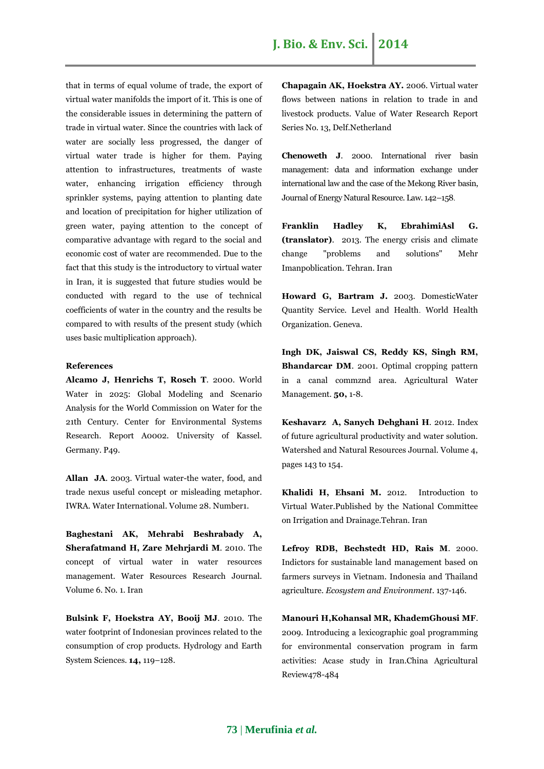that in terms of equal volume of trade, the export of virtual water manifolds the import of it. This is one of the considerable issues in determining the pattern of trade in virtual water. Since the countries with lack of water are socially less progressed, the danger of virtual water trade is higher for them. Paying attention to infrastructures, treatments of waste water, enhancing irrigation efficiency through sprinkler systems, paying attention to planting date and location of precipitation for higher utilization of green water, paying attention to the concept of comparative advantage with regard to the social and economic cost of water are recommended. Due to the fact that this study is the introductory to virtual water in Iran, it is suggested that future studies would be conducted with regard to the use of technical coefficients of water in the country and the results be compared to with results of the present study (which uses basic multiplication approach).

#### **References**

**Alcamo J, Henrichs T, Rosch T**. 2000. World Water in 2025: Global Modeling and Scenario Analysis for the World Commission on Water for the 21th Century. Center for Environmental Systems Research. Report A0002. University of Kassel. Germany. P49.

**Allan JA**. 2003. Virtual water-the water, food, and trade nexus useful concept or misleading metaphor. IWRA. Water International. Volume 28. Number1.

**Baghestani AK, Mehrabi Beshrabady A, Sherafatmand H, Zare Mehrjardi M**. 2010. The concept of virtual water in water resources management. Water Resources Research Journal. Volume 6. No. 1. Iran

**Bulsink F, Hoekstra AY, Booij MJ**. 2010. The water footprint of Indonesian provinces related to the consumption of crop products. Hydrology and Earth System Sciences. **14,** 119–128.

**Chapagain AK, Hoekstra AY.** 2006. Virtual water flows between nations in relation to trade in and livestock products. Value of Water Research Report Series No. 13, Delf.Netherland

**Chenoweth J**. 2000. International river basin management: data and information exchange under international law and the case of the Mekong River basin, Journal of Energy Natural Resource. Law. 142–158.

**Franklin Hadley K, EbrahimiAsl G. (translator)**. 2013. The energy crisis and climate change "problems and solutions" Mehr Imanpoblication. Tehran. Iran

**Howard G, Bartram J.** 2003. DomesticWater Quantity Service. Level and Health. World Health Organization. Geneva.

**Ingh DK, Jaiswal CS, Reddy KS, Singh RM, Bhandarcar DM**. 2001. Optimal cropping pattern in a canal commznd area. Agricultural Water Management. **50,** 1-8.

**Keshavarz A, Sanych Dehghani H**. 2012. Index of future agricultural productivity and water solution. Watershed and Natural Resources Journal. Volume 4, pages 143 to 154.

**Khalidi H, Ehsani M.** 2012. Introduction to Virtual Water.Published by the National Committee on Irrigation and Drainage.Tehran. Iran

**Lefroy RDB, Bechstedt HD, Rais M**. 2000. Indictors for sustainable land management based on farmers surveys in Vietnam. Indonesia and Thailand agriculture. *Ecosystem and Environment*. 137-146.

**Manouri H,Kohansal MR, KhademGhousi MF**. 2009. Introducing a lexicographic goal programming for environmental conservation program in farm activities: Acase study in Iran.China Agricultural Review478-484